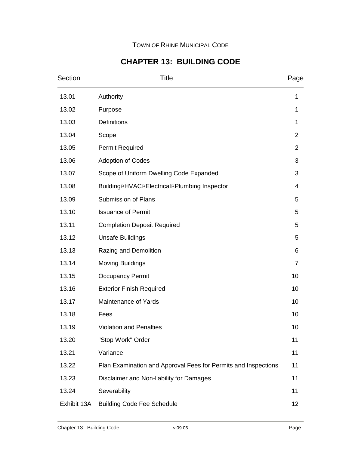# **CHAPTER 13: BUILDING CODE**

| Section     | <b>Title</b>                                                   | Page           |
|-------------|----------------------------------------------------------------|----------------|
| 13.01       | Authority                                                      | 1              |
| 13.02       | Purpose                                                        | 1              |
| 13.03       | <b>Definitions</b>                                             | 1              |
| 13.04       | Scope                                                          | $\overline{2}$ |
| 13.05       | <b>Permit Required</b>                                         | 2              |
| 13.06       | <b>Adoption of Codes</b>                                       | 3              |
| 13.07       | Scope of Uniform Dwelling Code Expanded                        | 3              |
| 13.08       | BuildingBHVACBElectricalBPlumbing Inspector                    | 4              |
| 13.09       | <b>Submission of Plans</b>                                     | 5              |
| 13.10       | <b>Issuance of Permit</b>                                      | 5              |
| 13.11       | <b>Completion Deposit Required</b>                             | 5              |
| 13.12       | <b>Unsafe Buildings</b>                                        | 5              |
| 13.13       | Razing and Demolition                                          | 6              |
| 13.14       | <b>Moving Buildings</b>                                        | 7              |
| 13.15       | <b>Occupancy Permit</b>                                        | 10             |
| 13.16       | <b>Exterior Finish Required</b>                                | 10             |
| 13.17       | Maintenance of Yards                                           | 10             |
| 13.18       | Fees                                                           | 10             |
| 13.19       | <b>Violation and Penalties</b>                                 | 10             |
| 13.20       | "Stop Work" Order                                              | 11             |
| 13.21       | Variance                                                       | 11             |
| 13.22       | Plan Examination and Approval Fees for Permits and Inspections | 11             |
| 13.23       | Disclaimer and Non-liability for Damages                       | 11             |
| 13.24       | Severability                                                   | 11             |
| Exhibit 13A | <b>Building Code Fee Schedule</b>                              | 12             |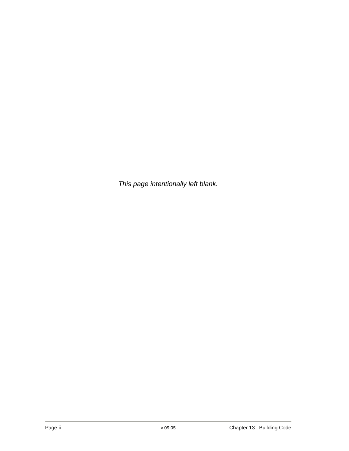*This page intentionally left blank.*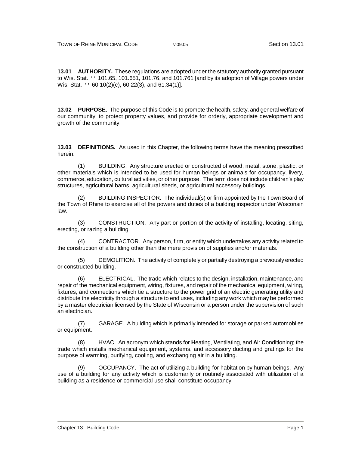**13.01 AUTHORITY.** These regulations are adopted under the statutory authority granted pursuant to Wis. Stat. '' 101.65, 101.651, 101.76, and 101.761 [and by its adoption of Village powers under Wis. Stat. '' 60.10(2)(c), 60.22(3), and 61.34(1)].

**13.02 PURPOSE.** The purpose of this Code is to promote the health, safety, and general welfare of our community, to protect property values, and provide for orderly, appropriate development and growth of the community.

**13.03 DEFINITIONS.** As used in this Chapter, the following terms have the meaning prescribed herein:

(1) BUILDING. Any structure erected or constructed of wood, metal, stone, plastic, or other materials which is intended to be used for human beings or animals for occupancy, livery, commerce, education, cultural activities, or other purpose. The term does not include children's play structures, agricultural barns, agricultural sheds, or agricultural accessory buildings.

(2) BUILDING INSPECTOR. The individual(s) or firm appointed by the Town Board of the Town of Rhine to exercise all of the powers and duties of a building inspector under Wisconsin law.

(3) CONSTRUCTION. Any part or portion of the activity of installing, locating, siting, erecting, or razing a building.

(4) CONTRACTOR. Any person, firm, or entity which undertakes any activity related to the construction of a building other than the mere provision of supplies and/or materials.

(5) DEMOLITION. The activity of completely or partially destroying a previously erected or constructed building.

(6) ELECTRICAL. The trade which relates to the design, installation, maintenance, and repair of the mechanical equipment, wiring, fixtures, and repair of the mechanical equipment, wiring, fixtures, and connections which tie a structure to the power grid of an electric generating utility and distribute the electricity through a structure to end uses, including any work which may be performed by a master electrician licensed by the State of Wisconsin or a person under the supervision of such an electrician.

(7) GARAGE. A building which is primarily intended for storage or parked automobiles or equipment.

(8) HVAC. An acronym which stands for **H**eating, **V**entilating, and **A**ir **C**onditioning; the trade which installs mechanical equipment, systems, and accessory ducting and gratings for the purpose of warming, purifying, cooling, and exchanging air in a building.

(9) OCCUPANCY. The act of utilizing a building for habitation by human beings. Any use of a building for any activity which is customarily or routinely associated with utilization of a building as a residence or commercial use shall constitute occupancy.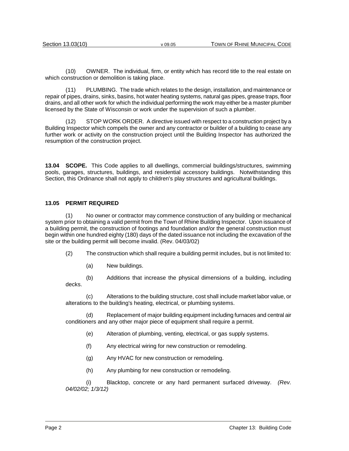(10) OWNER. The individual, firm, or entity which has record title to the real estate on which construction or demolition is taking place.

(11) PLUMBING. The trade which relates to the design, installation, and maintenance or repair of pipes, drains, sinks, basins, hot water heating systems, natural gas pipes, grease traps, floor drains, and all other work for which the individual performing the work may either be a master plumber licensed by the State of Wisconsin or work under the supervision of such a plumber.

(12) STOP WORK ORDER. A directive issued with respect to a construction project by a Building Inspector which compels the owner and any contractor or builder of a building to cease any further work or activity on the construction project until the Building Inspector has authorized the resumption of the construction project.

**13.04 SCOPE.** This Code applies to all dwellings, commercial buildings/structures, swimming pools, garages, structures, buildings, and residential accessory buildings. Notwithstanding this Section, this Ordinance shall not apply to children's play structures and agricultural buildings.

## **13.05 PERMIT REQUIRED**

(1) No owner or contractor may commence construction of any building or mechanical system prior to obtaining a valid permit from the Town of Rhine Building Inspector. Upon issuance of a building permit, the construction of footings and foundation and/or the general construction must begin within one hundred eighty (180) days of the dated issuance not including the excavation of the site or the building permit will become invalid. (Rev. 04/03/02)

(2) The construction which shall require a building permit includes, but is not limited to:

(a) New buildings.

(b) Additions that increase the physical dimensions of a building, including decks.

(c) Alterations to the building structure, cost shall include market labor value, or alterations to the building's heating, electrical, or plumbing systems.

(d) Replacement of major building equipment including furnaces and central air conditioners and any other major piece of equipment shall require a permit.

- (e) Alteration of plumbing, venting, electrical, or gas supply systems.
- (f) Any electrical wiring for new construction or remodeling.
- (g) Any HVAC for new construction or remodeling.
- (h) Any plumbing for new construction or remodeling.

(i) Blacktop, concrete or any hard permanent surfaced driveway. *(Rev. 04/02/02; 1/3/12)*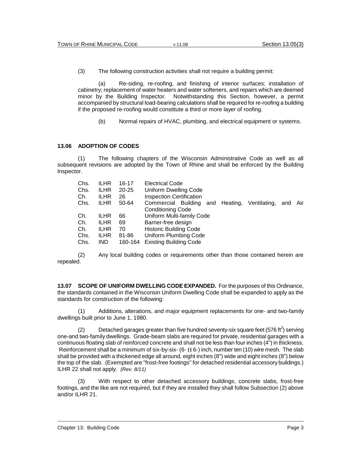(3) The following construction activities shall not require a building permit:

(a) Re-siding, re-roofing, and finishing of interior surfaces; installation of cabinetry; replacement of water heaters and water softeners, and repairs which are deemed minor by the Building Inspector. Notwithstanding this Section, however, a permit accompanied by structural load-bearing calculations shall be required for re-roofing a building if the proposed re-roofing would constitute a third or more layer of roofing.

(b) Normal repairs of HVAC, plumbing, and electrical equipment or systems.

#### **13.06 ADOPTION OF CODES**

(1) The following chapters of the Wisconsin Administrative Code as well as all subsequent revisions are adopted by the Town of Rhine and shall be enforced by the Building Inspector.

| Chs.<br>Chs.<br>Ch. | <b>ILHR</b><br><b>ILHR</b><br><b>ILHR</b> | $16 - 17$<br>$20 - 25$<br>26 | <b>Electrical Code</b><br>Uniform Dwelling Code<br><b>Inspection Certification</b> |  |
|---------------------|-------------------------------------------|------------------------------|------------------------------------------------------------------------------------|--|
| Chs.                | <b>ILHR</b>                               | 50-64                        | Commercial Building and Heating, Ventilating,<br>and<br>Air                        |  |
|                     |                                           |                              | <b>Conditioning Code</b>                                                           |  |
| Ch.                 | <b>ILHR</b>                               | 66                           | Uniform Multi-family Code                                                          |  |
| Ch.                 | <b>ILHR</b>                               | 69                           | Barrier-free design                                                                |  |
| Ch.                 | <b>ILHR</b>                               | 70                           | <b>Historic Building Code</b>                                                      |  |
| Chs.                | <b>ILHR</b>                               | 81-86                        | Uniform Plumbing Code                                                              |  |
| Chs.                | IND.                                      |                              | 160-164 Existing Building Code                                                     |  |

(2) Any local building codes or requirements other than those contained herein are repealed.

**13.07 SCOPE OF UNIFORM DWELLING CODE EXPANDED.** For the purposes of this Ordinance, the standards contained in the Wisconsin Uniform Dwelling Code shall be expanded to apply as the standards for construction of the following:

(1) Additions, alterations, and major equipment replacements for one- and two-family dwellings built prior to June 1, 1980.

(2) Detached garages greater than five hundred seventy-six square feet (576 ft<sup>2</sup>) serving one-and two-family dwellings. Grade-beam slabs are required for private, residential garages with a continuous floating slab of reinforced concrete and shall not be less than four inches (4") in thickness. Reinforcement shall be a minimum of six-by-six- $(6-H 6-)$  inch, number ten  $(10)$  wire mesh. The slab shall be provided with a thickened edge all around, eight inches (8") wide and eight inches (8") below the top of the slab. (Exempted are "frost-free footings" for detached residential accessory buildings.) ILHR 22 shall not apply. *(Rev. 8/11)*

With respect to other detached accessory buildings, concrete slabs, frost-free footings, and the like are not required, but if they are installed they shall follow Subsection (2) above and/or ILHR 21.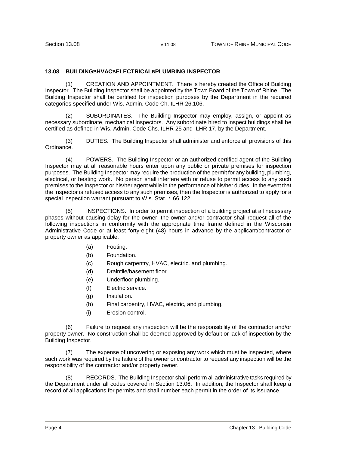#### **13.08 BUILDINGBHVACBELECTRICALBPLUMBING INSPECTOR**

(1) CREATION AND APPOINTMENT. There is hereby created the Office of Building Inspector. The Building Inspector shall be appointed by the Town Board of the Town of Rhine. The Building Inspector shall be certified for inspection purposes by the Department in the required categories specified under Wis. Admin. Code Ch. ILHR 26.106.

(2) SUBORDINATES. The Building Inspector may employ, assign, or appoint as necessary subordinate, mechanical inspectors. Any subordinate hired to inspect buildings shall be certified as defined in Wis. Admin. Code Chs. ILHR 25 and ILHR 17, by the Department.

(3) DUTIES. The Building Inspector shall administer and enforce all provisions of this Ordinance.

(4) POWERS. The Building Inspector or an authorized certified agent of the Building Inspector may at all reasonable hours enter upon any public or private premises for inspection purposes. The Building Inspector may require the production of the permit for any building, plumbing, electrical, or heating work. No person shall interfere with or refuse to permit access to any such premises to the Inspector or his/her agent while in the performance of his/her duties. In the event that the Inspector is refused access to any such premises, then the Inspector is authorized to apply for a special inspection warrant pursuant to Wis. Stat. ' 66.122.

(5) INSPECTIONS. In order to permit inspection of a building project at all necessary phases without causing delay for the owner, the owner and/or contractor shall request all of the following inspections in conformity with the appropriate time frame defined in the Wisconsin Administrative Code or at least forty-eight (48) hours in advance by the applicant/contractor or property owner as applicable.

- (a) Footing.
- (b) Foundation.
- (c) Rough carpentry, HVAC, electric. and plumbing.
- (d) Draintile/basement floor.
- (e) Underfloor plumbing.
- (f) Electric service.
- (g) Insulation.
- (h) Final carpentry, HVAC, electric, and plumbing.
- (i) Erosion control.

(6) Failure to request any inspection will be the responsibility of the contractor and/or property owner. No construction shall be deemed approved by default or lack of inspection by the Building Inspector.

(7) The expense of uncovering or exposing any work which must be inspected, where such work was required by the failure of the owner or contractor to request any inspection will be the responsibility of the contractor and/or property owner.

(8) RECORDS. The Building Inspector shall perform all administrative tasks required by the Department under all codes covered in Section 13.06. In addition, the Inspector shall keep a record of all applications for permits and shall number each permit in the order of its issuance.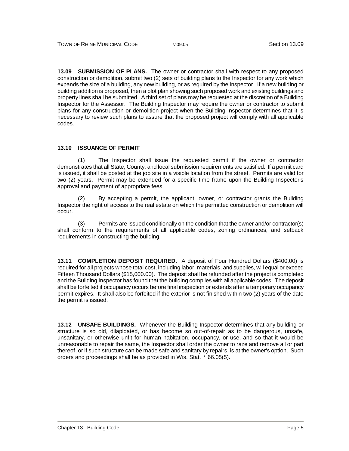**13.09 SUBMISSION OF PLANS.** The owner or contractor shall with respect to any proposed construction or demolition, submit two (2) sets of building plans to the Inspector for any work which expands the size of a building, any new building, or as required by the Inspector. If a new building or building addition is proposed, then a plot plan showing such proposed work and existing buildings and property lines shall be submitted. A third set of plans may be requested at the discretion of a Building Inspector for the Assessor. The Building Inspector may require the owner or contractor to submit plans for any construction or demolition project when the Building Inspector determines that it is necessary to review such plans to assure that the proposed project will comply with all applicable codes.

#### **13.10 ISSUANCE OF PERMIT**

(1) The Inspector shall issue the requested permit if the owner or contractor demonstrates that all State, County, and local submission requirements are satisfied. If a permit card is issued, it shall be posted at the job site in a visible location from the street. Permits are valid for two (2) years. Permit may be extended for a specific time frame upon the Building Inspector's approval and payment of appropriate fees.

(2) By accepting a permit, the applicant, owner, or contractor grants the Building Inspector the right of access to the real estate on which the permitted construction or demolition will occur.

(3) Permits are issued conditionally on the condition that the owner and/or contractor(s) shall conform to the requirements of all applicable codes, zoning ordinances, and setback requirements in constructing the building.

**13.11 COMPLETION DEPOSIT REQUIRED.** A deposit of Four Hundred Dollars (\$400.00) is required for all projects whose total cost, including labor, materials, and supplies, will equal or exceed Fifteen Thousand Dollars (\$15,000.00). The deposit shall be refunded after the project is completed and the Building Inspector has found that the building complies with all applicable codes. The deposit shall be forfeited if occupancy occurs before final inspection or extends after a temporary occupancy permit expires. It shall also be forfeited if the exterior is not finished within two (2) years of the date the permit is issued.

**13.12 UNSAFE BUILDINGS.** Whenever the Building Inspector determines that any building or structure is so old, dilapidated, or has become so out-of-repair as to be dangerous, unsafe, unsanitary, or otherwise unfit for human habitation, occupancy, or use, and so that it would be unreasonable to repair the same, the Inspector shall order the owner to raze and remove all or part thereof, or if such structure can be made safe and sanitary by repairs, is at the owner's option. Such orders and proceedings shall be as provided in Wis. Stat. ' 66.05(5).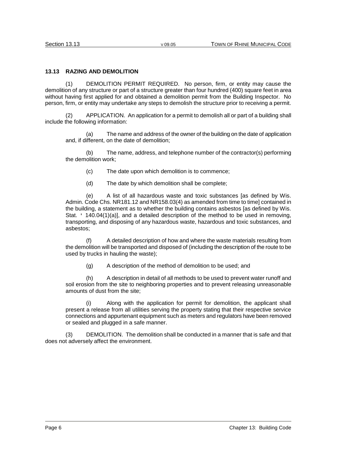## **13.13 RAZING AND DEMOLITION**

(1) DEMOLITION PERMIT REQUIRED. No person, firm, or entity may cause the demolition of any structure or part of a structure greater than four hundred (400) square feet in area without having first applied for and obtained a demolition permit from the Building Inspector. No person, firm, or entity may undertake any steps to demolish the structure prior to receiving a permit.

APPLICATION. An application for a permit to demolish all or part of a building shall include the following information:

(a) The name and address of the owner of the building on the date of application and, if different, on the date of demolition;

(b) The name, address, and telephone number of the contractor(s) performing the demolition work;

- (c) The date upon which demolition is to commence;
- (d) The date by which demolition shall be complete;

(e) A list of all hazardous waste and toxic substances [as defined by Wis. Admin. Code Chs. NR181.12 and NR158.03(4) as amended from time to time] contained in the building, a statement as to whether the building contains asbestos [as defined by Wis. Stat. ' 140.04(1)(a)], and a detailed description of the method to be used in removing, transporting, and disposing of any hazardous waste, hazardous and toxic substances, and asbestos;

(f) A detailed description of how and where the waste materials resulting from the demolition will be transported and disposed of (including the description of the route to be used by trucks in hauling the waste);

(g) A description of the method of demolition to be used; and

(h) A description in detail of all methods to be used to prevent water runoff and soil erosion from the site to neighboring properties and to prevent releasing unreasonable amounts of dust from the site;

(i) Along with the application for permit for demolition, the applicant shall present a release from all utilities serving the property stating that their respective service connections and appurtenant equipment such as meters and regulators have been removed or sealed and plugged in a safe manner.

(3) DEMOLITION. The demolition shall be conducted in a manner that is safe and that does not adversely affect the environment.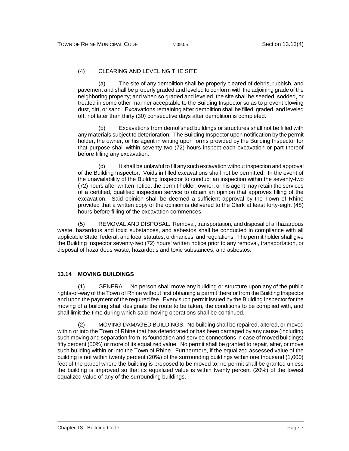## (4) CLEARING AND LEVELING THE SITE

(a) The site of any demolition shall be properly cleared of debris, rubbish, and pavement and shall be properly graded and leveled to conform with the adjoining grade of the neighboring property; and when so graded and leveled, the site shall be seeded, sodded, or treated in some other manner acceptable to the Building Inspector so as to prevent blowing dust, dirt, or sand. Excavations remaining after demolition shall be filled, graded, and leveled off, not later than thirty (30) consecutive days after demolition is completed.

(b) Excavations from demolished buildings or structures shall not be filled with any materials subject to deterioration. The Building Inspector upon notification by the permit holder, the owner, or his agent in writing upon forms provided by the Building Inspector for that purpose shall within seventy-two (72) hours inspect each excavation or part thereof before filling any excavation.

(c) It shall be unlawful to fill any such excavation without inspection and approval of the Building Inspector. Voids in filled excavations shall not be permitted. In the event of the unavailability of the Building Inspector to conduct an inspection within the seventy-two (72) hours after written notice, the permit holder, owner, or his agent may retain the services of a certified, qualified inspection service to obtain an opinion that approves filling of the excavation. Said opinion shall be deemed a sufficient approval by the Town of Rhine provided that a written copy of the opinion is delivered to the Clerk at least forty-eight (48) hours before filling of the excavation commences.

(5) REMOVAL AND DISPOSAL. Removal, transportation, and disposal of all hazardous waste, hazardous and toxic substances, and asbestos shall be conducted in compliance with all applicable State, federal, and local statutes, ordinances, and regulations. The permit holder shall give the Building Inspector seventy-two (72) hours' written notice prior to any removal, transportation, or disposal of hazardous waste, hazardous and toxic substances, and asbestos.

#### **13.14 MOVING BUILDINGS**

(1) GENERAL. No person shall move any building or structure upon any of the public rights-of-way of the Town of Rhine without first obtaining a permit therefor from the Building Inspector and upon the payment of the required fee. Every such permit issued by the Building Inspector for the moving of a building shall designate the route to be taken, the conditions to be complied with, and shall limit the time during which said moving operations shall be continued.

(2) MOVING DAMAGED BUILDINGS. No building shall be repaired, altered, or moved within or into the Town of Rhine that has deteriorated or has been damaged by any cause (including such moving and separation from its foundation and service connections in case of moved buildings) fifty percent (50%) or more of its equalized value. No permit shall be granted to repair, alter, or move such building within or into the Town of Rhine. Furthermore, if the equalized assessed value of the building is not within twenty percent (20%) of the surrounding buildings within one thousand (1,000) feet of the parcel where the building is proposed to be moved to, no permit shall be granted unless the building is improved so that its equalized value is within twenty percent (20%) of the lowest equalized value of any of the surrounding buildings.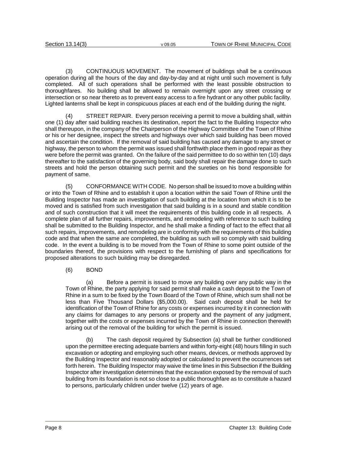(3) CONTINUOUS MOVEMENT. The movement of buildings shall be a continuous operation during all the hours of the day and day-by-day and at night until such movement is fully completed. All of such operations shall be performed with the least possible obstruction to thoroughfares. No building shall be allowed to remain overnight upon any street crossing or intersection or so near thereto as to prevent easy access to a fire hydrant or any other public facility. Lighted lanterns shall be kept in conspicuous places at each end of the building during the night.

(4) STREET REPAIR. Every person receiving a permit to move a building shall, within one (1) day after said building reaches its destination, report the fact to the Building Inspector who shall thereupon, in the company of the Chairperson of the Highway Committee of the Town of Rhine or his or her designee, inspect the streets and highways over which said building has been moved and ascertain the condition. If the removal of said building has caused any damage to any street or highway, the person to whom the permit was issued shall forthwith place them in good repair as they were before the permit was granted. On the failure of the said permittee to do so within ten (10) days thereafter to the satisfaction of the governing body, said body shall repair the damage done to such streets and hold the person obtaining such permit and the sureties on his bond responsible for payment of same.

(5) CONFORMANCE WITH CODE. No person shall be issued to move a building within or into the Town of Rhine and to establish it upon a location within the said Town of Rhine until the Building Inspector has made an investigation of such building at the location from which it is to be moved and is satisfied from such investigation that said building is in a sound and stable condition and of such construction that it will meet the requirements of this building code in all respects. A complete plan of all further repairs, improvements, and remodeling with reference to such building shall be submitted to the Building Inspector, and he shall make a finding of fact to the effect that all such repairs, improvements, and remodeling are in conformity with the requirements of this building code and that when the same are completed, the building as such will so comply with said building code. In the event a building is to be moved from the Town of Rhine to some point outside of the boundaries thereof, the provisions with respect to the furnishing of plans and specifications for proposed alterations to such building may be disregarded.

# (6) BOND

(a) Before a permit is issued to move any building over any public way in the Town of Rhine, the party applying for said permit shall make a cash deposit to the Town of Rhine in a sum to be fixed by the Town Board of the Town of Rhine, which sum shall not be less than Five Thousand Dollars (\$5,000.00). Said cash deposit shall be held for identification of the Town of Rhine for any costs or expenses incurred by it in connection with any claims for damages to any persons or property and the payment of any judgment, together with the costs or expenses incurred by the Town of Rhine in connection therewith arising out of the removal of the building for which the permit is issued.

(b) The cash deposit required by Subsection (a) shall be further conditioned upon the permittee erecting adequate barriers and within forty-eight (48) hours filling in such excavation or adopting and employing such other means, devices, or methods approved by the Building Inspector and reasonably adopted or calculated to prevent the occurrences set forth herein. The Building Inspector may waive the time lines in this Subsection if the Building Inspector after investigation determines that the excavation exposed by the removal of such building from its foundation is not so close to a public thoroughfare as to constitute a hazard to persons, particularly children under twelve (12) years of age.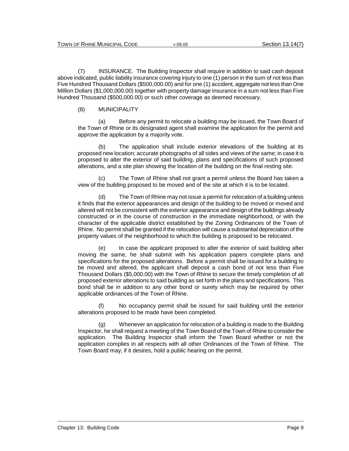(7) INSURANCE. The Building Inspector shall require in addition to said cash deposit above indicated, public liability insurance covering injury to one (1) person in the sum of not less than Five Hundred Thousand Dollars (\$500,000.00) and for one (1) accident, aggregate not less than One Million Dollars (\$1,000,000.00) together with property damage insurance in a sum not less than Five Hundred Thousand (\$500,000.00) or such other coverage as deemed necessary.

#### (8) MUNICIPALITY

(a) Before any permit to relocate a building may be issued, the Town Board of the Town of Rhine or its designated agent shall examine the application for the permit and approve the application by a majority vote.

(b) The application shall include exterior elevations of the building at its proposed new location; accurate photographs of all sides and views of the same; in case it is proposed to alter the exterior of said building, plans and specifications of such proposed alterations, and a site plan showing the location of the building on the final resting site.

The Town of Rhine shall not grant a permit unless the Board has taken a view of the building proposed to be moved and of the site at which it is to be located.

(d) The Town of Rhine may not issue a permit for relocation of a building unless it finds that the exterior appearances and design of the building to be moved or moved and altered will not be consistent with the exterior appearance and design of the buildings already constructed or in the course of construction in the immediate neighborhood, or with the character of the applicable district established by the Zoning Ordinances of the Town of Rhine. No permit shall be granted if the relocation will cause a substantial depreciation of the property values of the neighborhood to which the building is proposed to be relocated.

(e) In case the applicant proposed to alter the exterior of said building after moving the same, he shall submit with his application papers complete plans and specifications for the proposed alterations. Before a permit shall be issued for a building to be moved and altered, the applicant shall deposit a cash bond of not less than Five Thousand Dollars (\$5,000.00) with the Town of Rhine to secure the timely completion of all proposed exterior alterations to said building as set forth in the plans and specifications. This bond shall be in addition to any other bond or surety which may be required by other applicable ordinances of the Town of Rhine.

(f) No occupancy permit shall be issued for said building until the exterior alterations proposed to be made have been completed.

(g) Whenever an application for relocation of a building is made to the Building Inspector, he shall request a meeting of the Town Board of the Town of Rhine to consider the application. The Building Inspector shall inform the Town Board whether or not the application complies in all respects with all other Ordinances of the Town of Rhine. The Town Board may, if it desires, hold a public hearing on the permit.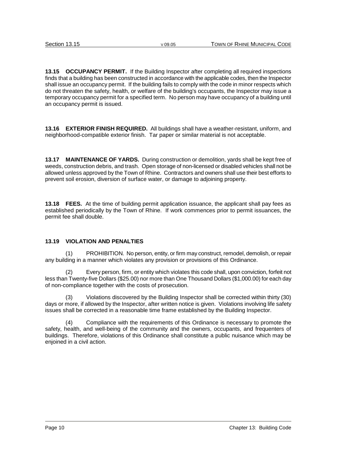**13.15 OCCUPANCY PERMIT.** If the Building Inspector after completing all required inspections finds that a building has been constructed in accordance with the applicable codes, then the Inspector shall issue an occupancy permit. If the building fails to comply with the code in minor respects which do not threaten the safety, health, or welfare of the building's occupants, the Inspector may issue a temporary occupancy permit for a specified term. No person may have occupancy of a building until an occupancy permit is issued.

**13.16 EXTERIOR FINISH REQUIRED.** All buildings shall have a weather-resistant, uniform, and neighborhood-compatible exterior finish. Tar paper or similar material is not acceptable.

**13.17 MAINTENANCE OF YARDS.** During construction or demolition, yards shall be kept free of weeds, construction debris, and trash. Open storage of non-licensed or disabled vehicles shall not be allowed unless approved by the Town of Rhine. Contractors and owners shall use their best efforts to prevent soil erosion, diversion of surface water, or damage to adjoining property.

**13.18 FEES.** At the time of building permit application issuance, the applicant shall pay fees as established periodically by the Town of Rhine. If work commences prior to permit issuances, the permit fee shall double.

# **13.19 VIOLATION AND PENALTIES**

(1) PROHIBITION. No person, entity, or firm may construct, remodel, demolish, or repair any building in a manner which violates any provision or provisions of this Ordinance.

Every person, firm, or entity which violates this code shall, upon conviction, forfeit not less than Twenty-five Dollars (\$25.00) nor more than One Thousand Dollars (\$1,000.00) for each day of non-compliance together with the costs of prosecution.

(3) Violations discovered by the Building Inspector shall be corrected within thirty (30) days or more, if allowed by the Inspector, after written notice is given. Violations involving life safety issues shall be corrected in a reasonable time frame established by the Building Inspector.

Compliance with the requirements of this Ordinance is necessary to promote the safety, health, and well-being of the community and the owners, occupants, and frequenters of buildings. Therefore, violations of this Ordinance shall constitute a public nuisance which may be enjoined in a civil action.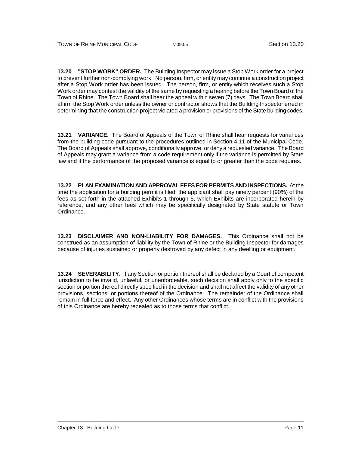**13.20 "STOP WORK" ORDER.** The Building Inspector may issue a Stop Work order for a project to prevent further non-complying work. No person, firm, or entity may continue a construction project after a Stop Work order has been issued. The person, firm, or entity which receives such a Stop Work order may contest the validity of the same by requesting a hearing before the Town Board of the Town of Rhine. The Town Board shall hear the appeal within seven (7) days. The Town Board shall affirm the Stop Work order unless the owner or contractor shows that the Building Inspector erred in determining that the construction project violated a provision or provisions of the State building codes.

**13.21 VARIANCE.** The Board of Appeals of the Town of Rhine shall hear requests for variances from the building code pursuant to the procedures outlined in Section 4.11 of the Municipal Code. The Board of Appeals shall approve, conditionally approve, or deny a requested variance. The Board of Appeals may grant a variance from a code requirement only if the variance is permitted by State law and if the performance of the proposed variance is equal to or greater than the code requires.

**13.22 PLAN EXAMINATION AND APPROVAL FEES FOR PERMITS AND INSPECTIONS.** At the time the application for a building permit is filed, the applicant shall pay ninety percent (90%) of the fees as set forth in the attached Exhibits 1 through 5, which Exhibits are incorporated herein by reference, and any other fees which may be specifically designated by State statute or Town Ordinance.

**13.23 DISCLAIMER AND NON-LIABILITY FOR DAMAGES.** This Ordinance shall not be construed as an assumption of liability by the Town of Rhine or the Building Inspector for damages because of injuries sustained or property destroyed by any defect in any dwelling or equipment.

**13.24 SEVERABILITY.** If any Section or portion thereof shall be declared by a Court of competent jurisdiction to be invalid, unlawful, or unenforceable, such decision shall apply only to the specific section or portion thereof directly specified in the decision and shall not affect the validity of any other provisions, sections, or portions thereof of the Ordinance. The remainder of the Ordinance shall remain in full force and effect. Any other Ordinances whose terms are in conflict with the provisions of this Ordinance are hereby repealed as to those terms that conflict.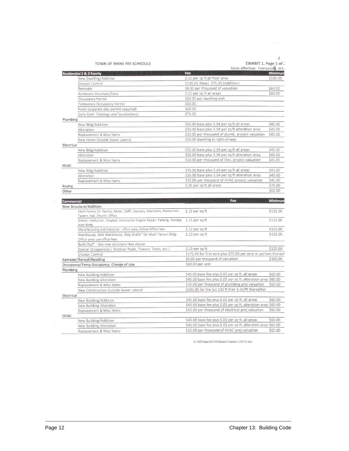|                                      | TOWN OF RHINE FEE SCHEDULE                                                                            | EXHIBIT 1, Page 1 of ;                                           | 4                                                                                      |
|--------------------------------------|-------------------------------------------------------------------------------------------------------|------------------------------------------------------------------|----------------------------------------------------------------------------------------|
|                                      |                                                                                                       | Rates effective: February4, 2014                                 |                                                                                        |
|                                      | <b>Residential 1 &amp; 2 Family</b>                                                                   | Fee                                                              | Minimum                                                                                |
|                                      | New Dwelling/Addition                                                                                 | \$.12 per sq ft all floor area                                   | \$100.00                                                                               |
|                                      | Erosion Control                                                                                       | \$100.00 (New) \$75.00 (Addition)                                |                                                                                        |
|                                      | Remodel                                                                                               | \$8.00 per thousand of valuation                                 | \$60.00                                                                                |
|                                      | Accessory Structure/Deck                                                                              | \$.12 per sq ft all areas                                        | \$60.00                                                                                |
|                                      | Occupancy Permit                                                                                      | \$50.00 per dwelling unit                                        |                                                                                        |
|                                      | Temporary Occupancy Permit                                                                            | \$50.00                                                          |                                                                                        |
|                                      | Pools (separate elec permit required)                                                                 | \$60.00                                                          |                                                                                        |
|                                      | Early Start (footings and foundations)                                                                | \$75.00                                                          |                                                                                        |
| Plumbing                             |                                                                                                       |                                                                  |                                                                                        |
|                                      | New Bldg/Addition                                                                                     | \$35.00 base plus \$.04 per sq ft all areas                      | \$45.00                                                                                |
|                                      | Alteration                                                                                            | \$35.00 base plus \$.04 per sq ft alteration area                | \$45.00                                                                                |
|                                      | Replacement & Misc Items                                                                              | \$10.00 per thousand of plumb, project valuation                 | \$45.00                                                                                |
|                                      | New Home Outside Sewer Lateral                                                                        | \$50.00 dwelling to right-of-way                                 |                                                                                        |
| Electrical                           |                                                                                                       |                                                                  |                                                                                        |
|                                      | New Bidg/Addition                                                                                     | \$35.00 base plus \$.04 per sq ft all areas                      | \$45.00                                                                                |
|                                      | Alteration                                                                                            | \$35.00 base plus \$.04 per sq ft alteration area                | \$45.00                                                                                |
|                                      | Replacement & Misc Items                                                                              | \$10.00 per thousand of Elec. project valuation                  | \$45.00                                                                                |
| <b>HVAC</b>                          |                                                                                                       |                                                                  |                                                                                        |
|                                      | New Bidg/Addition                                                                                     | \$35.00 base plus \$.04 per sq ft all areas                      | \$45.00                                                                                |
|                                      | Alteration                                                                                            | \$35.00 base plus \$.04 per sq ft alteration area                | \$45.00                                                                                |
|                                      | Replacement & Misc Items                                                                              | \$10.00 per thousand of HVAC project valuation                   | \$45.00                                                                                |
|                                      |                                                                                                       |                                                                  |                                                                                        |
|                                      |                                                                                                       |                                                                  |                                                                                        |
|                                      |                                                                                                       | \$.05 per sq ft all areas<br>Fee                                 |                                                                                        |
|                                      | New Structure/Addition                                                                                |                                                                  |                                                                                        |
|                                      | Multi-Family (3+ family), Motel, CBRF, Daycare, Merchant, Restaurant,<br>Tavern, Hall, Church, Office | \$.13 per sq ft                                                  |                                                                                        |
|                                      | School, Institution, Hospital, Vehicle/Sm Engine Repair, Parking, Storage,<br>Auto Body               | S.15 per sq ft                                                   |                                                                                        |
|                                      | Manufacturing and Industrial - office area, follow Office fees                                        | S.12 per sq ft                                                   | \$75.00<br>\$60.00                                                                     |
|                                      | Warehouse, Mini Warehouse, Bldg Shells* for Multi Tenant Bldg-<br>Office area use office fees         | \$.10 per sq ft                                                  |                                                                                        |
|                                      | Build Out* - See new structure fees above                                                             |                                                                  |                                                                                        |
|                                      | Special Occupancies (Outdoor Pools, Towers, Tents, etc.)                                              | S.10 per sq ft                                                   |                                                                                        |
|                                      | Erosion Control                                                                                       | \$175.00 for first acre plus \$75.00 per acre or portion thereof |                                                                                        |
|                                      | Remodel/Reroof/Residing                                                                               | \$9.00 per thousand of valuation                                 |                                                                                        |
| Razing<br>Other<br><b>Commercial</b> | Occupancy/Temp Occupancy, Change of Use                                                               | \$60.00 per unit                                                 | <b>Minimum</b><br>\$125.00<br>\$125.00<br>\$125.00<br>\$125.00<br>\$125.00<br>\$100.00 |
|                                      |                                                                                                       |                                                                  |                                                                                        |
|                                      | New Building/Addition                                                                                 | \$45.00 base fee plus \$.05 per sq ft, all areas                 | \$60.00                                                                                |
| Plumbing                             | New Building Alteration                                                                               | \$45.00 base fee plus \$.05 per sq ft, alteration area \$60.00   |                                                                                        |
|                                      | Replacement & Misc Items                                                                              | \$10.00 per thousand of plumbing proj valuation                  | \$60.00                                                                                |
|                                      | New Construction Outside Sewer Lateral                                                                | \$100.00 for the 1st 100 ft then \$.50/ft thereafter             |                                                                                        |
|                                      |                                                                                                       |                                                                  |                                                                                        |
|                                      |                                                                                                       | \$45.00 base fee plus \$.05 per sq ft, all areas                 |                                                                                        |
|                                      | New Building/Addition                                                                                 | \$45.00 base fee plus \$.05 per sq ft, alteration area \$60.00   |                                                                                        |
|                                      | New Building Alteration                                                                               | \$10.00 per thousand of electrical proj valuation                | \$60.00                                                                                |
|                                      | Replacement & Misc Items                                                                              |                                                                  |                                                                                        |
| Electrical<br><b>HVAC</b>            |                                                                                                       | \$45.00 base fee plus \$.05 per sq ft, all areas                 | \$60.00<br>\$60.00                                                                     |
|                                      | New Building/Addition<br>New Building Alteration                                                      | \$45.00 base fee plus \$.05 per sq ft, alteration area \$60.00   |                                                                                        |

G:\WPData\MUNI\Rhine\Contract (2014);doc